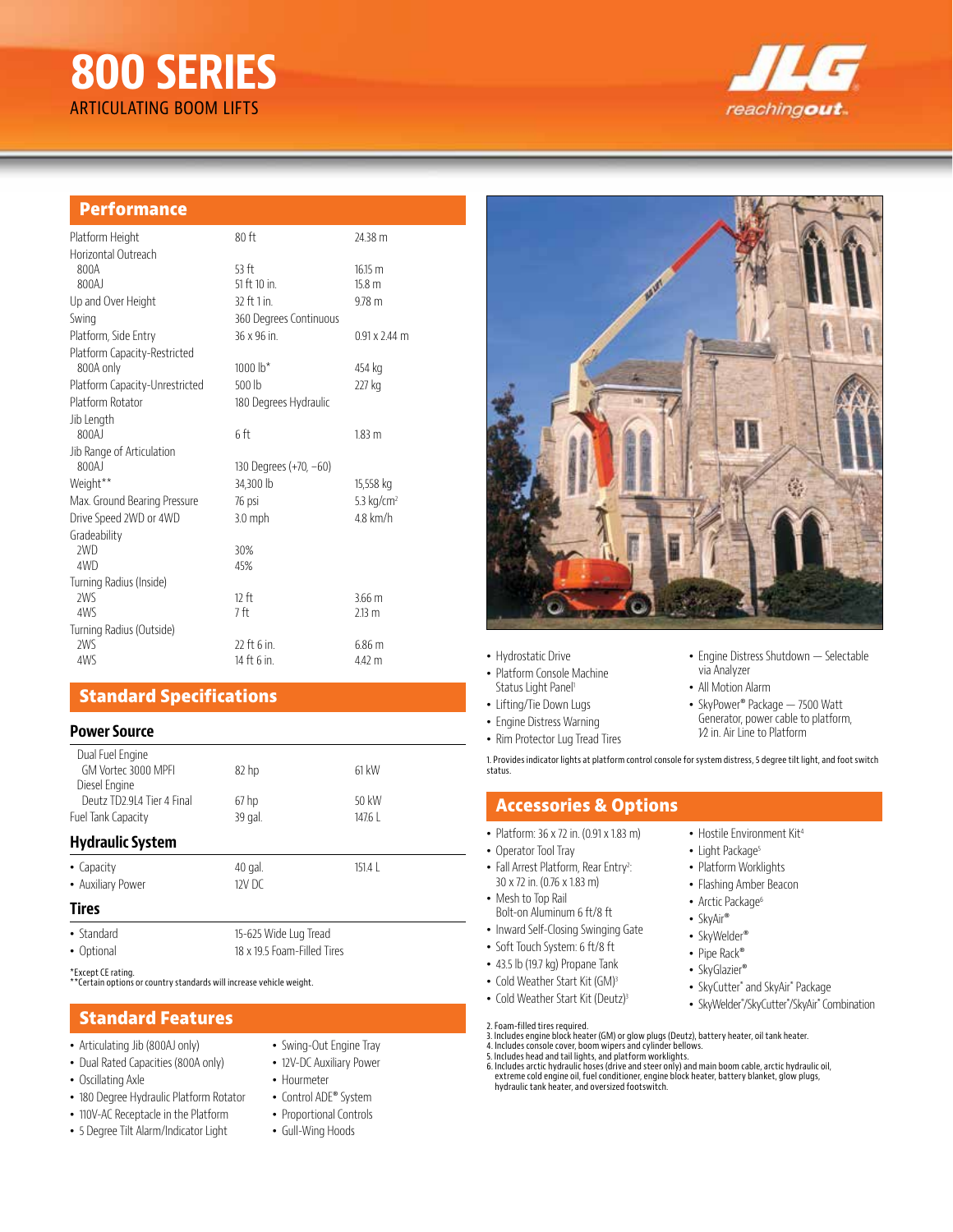# **800 SERIES** ARTICULATING BOOM LIFTS



### **Performance**

| Platform Height                | $80$ ft                | 24.38 m              |
|--------------------------------|------------------------|----------------------|
| Horizontal Outreach            |                        |                      |
| 800A                           | 53 ft                  | 16.15 m              |
| 800AJ                          | 51 ft 10 in.           | 15.8 m               |
| Up and Over Height             | 32 ft 1 in.            | $9.78$ m             |
| Swing                          | 360 Degrees Continuous |                      |
| Platform, Side Entry           | 36 x 96 in.            | $0.91 \times 2.44$ m |
| Platform Capacity-Restricted   |                        |                      |
| 800A only                      | 1000 $h^*$             | 454 kg               |
| Platform Capacity-Unrestricted | 500 lb                 | 227 kg               |
| Platform Rotator               | 180 Degrees Hydraulic  |                      |
| Jib Length                     |                        |                      |
| 800AJ                          | 6 ft                   | 183 <sub>m</sub>     |
| Jib Range of Articulation      |                        |                      |
| 800AJ                          | 130 Degrees (+70, -60) |                      |
| Weight**                       | 34,300 lb              | 15,558 kg            |
| Max. Ground Bearing Pressure   | 76 psi                 | 5.3 $kg/cm2$         |
| Drive Speed 2WD or 4WD         | $3.0$ mph              | $4.8$ km/h           |
| Gradeability                   |                        |                      |
| 2WD                            | 30%                    |                      |
| 4WD                            | 45%                    |                      |
| Turning Radius (Inside)        |                        |                      |
| 2WS                            | 12 ft                  | $3.66$ m             |
| 4WS                            | 7ft                    | 213 m                |
| Turning Radius (Outside)       |                        |                      |
| 2WS                            | 22 ft 6 in             | 6.86 m               |
| 4WS                            | 14 ft 6 in.            | 4.42 m               |

# **Standard Specifications**

### **Power Source**

| Dual Fuel Engine<br>GM Vortec 3000 MPFI     | 82 <sub>hp</sub> | 61 kW                 |  |  |
|---------------------------------------------|------------------|-----------------------|--|--|
| Diesel Engine<br>Deutz TD2.9L4 Tier 4 Final | 67 <sub>hp</sub> | 50 kW                 |  |  |
| Fuel Tank Capacity                          | 39 gal.          | $1476$                |  |  |
| <b>Hydraulic System</b>                     |                  |                       |  |  |
| • Capacity                                  | 40 gal.          | 151.4L                |  |  |
| • Auxiliary Power                           | $12V$ DC         |                       |  |  |
| <b>Tires</b>                                |                  |                       |  |  |
| • Standard                                  |                  | 15-625 Wide Lug Tread |  |  |

• Optional 18 x 19.5 Foam-Filled Tires

\*Except CE rating. \*\*Certain options or country standards will increase vehicle weight.

## **Standard Features**

- Articulating Jib (800AJ only)
- Dual Rated Capacities (800A only)
- Oscillating Axle
- 180 Degree Hydraulic Platform Rotator
- 110V-AC Receptacle in the Platform
- 5 Degree Tilt Alarm/Indicator Light
- 
- Swing-Out Engine Tray
- 12V-DC Auxiliary Power
- Hourmeter
- 
- Control ADE® System
- Proportional Controls
- Gull-Wing Hoods

# 缘

- Hydrostatic Drive
- Platform Console Machine Status Light Panel<sup>1</sup>
- Lifting/Tie Down Lugs
- Engine Distress Warning
- 
- Rim Protector Lug Tread Tires

1. Provides indicator lights at platform control console for system distress, 5 degree tilt light, and foot switch status.

### **Accessories & Options**

- Platform: 36 x 72 in. (0.91 x 1.83 m)
- Operator Tool Tray
- Fall Arrest Platform, Rear Entry<sup>2</sup>: 30 x 72 in. (0.76 x 1.83 m)
- Mesh to Top Rail Bolt-on Aluminum 6 ft/8 ft
- Inward Self-Closing Swinging Gate
- Soft Touch System: 6 ft/8 ft
- 43.5 lb (19.7 kg) Propane Tank
- Cold Weather Start Kit (GM)<sup>3</sup>
- Cold Weather Start Kit (Deutz)<sup>3</sup>
- 
- 2. Foam-filled tires required.<br>3. Includes engine block heater (GM) or glow plugs (Deutz), battery heater, oil tank heater.<br>4. Includes console cover, boom wipers and cylinder bellows.<br>5. Includes head and tail lights, and
- 
- 6. Includes arctic hydraulic hoses (drive and steer only) and main boom cable, arctic hydraulic oil,<br>extreme cold engine oil, fuel conditioner, engine block heater, battery blanket, glow plugs,<br>hydraulic tank heater, and o

• Hostile Environment Kit4

:

- Light Package<sup>5</sup>
	- Platform Worklights

via Analyzer • All Motion Alarm

- Flashing Amber Beacon
- Arctic Package<sup>6</sup>
- SkyAir®
- SkyWelder®
- Pipe Rack®
- SkyGlazier®
- SkyCutter® and SkyAir® Package
- SkyWelder® /SkyCutter® /SkyAir® Combination

• Engine Distress Shutdown — Selectable

• SkyPower® Package — 7500 Watt Generator, power cable to platform, 1⁄2 in. Air Line to Platform